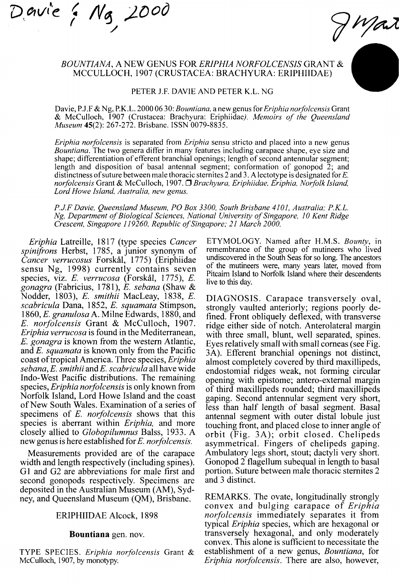*T)oti/tc* < */\f^ J^Dod*  **y** 

# *BOUNTIANA, A* NEW GENUS FOR *ERIPHIA NORFOLCENSIS* GRANT & MCCULLOCH, 1907 (CRUSTACEA: BRACHYURA: ERIPHIIDAE)

#### PETER J.F. DAVIE AND PETER K.L. NG

Davie, P.J.F & Ng, P.K.L. 2000 06 30: *Bountiana,* a new genus for *Eriphia norfolcemis* Grant & McCulloch, 1907 (Crustacea: Brachyura: Eriphiidae/ *Memoirs of the Queensland Museum* 45(2): 267-272. Brisbane. ISSN 0079-8835.

*Eriphia norfolcensis* is separated from *Eriphia* sensu stricto and placed into a new genus *Bountiana.* The two genera differ in many features including carapace shape, eye size and shape; differentiation of efferent branchial openings; length of second antennular segment; length and disposition of basal antennal segment; conformation of gonopod 2; and distinctness of suture between male thoracic sternites 2 and 3. A lectotype is designated for  $E$ . *norfolcensis* Grant & McCulloch, 1907. *^Brachyura, Eriphiidae, Eriphia, Norfolk Island, Lord Howe Island, Australia, new genus.* 

*P.J.F Davie, Queensland Museum, PO Box 3300, South Brisbane 4101, Australia; P.K.L. Ng, Department of Biological Sciences, National University of Singapore, 10 Kent Ridge Crescent, Singapore 119260, Republic of Singapore; 21 March 2000.* 

*Eriphia* Latreille, 1817 (type species *Cancer spinifrons* Herbst, 1785, a junior synonym of *Cancer verrucosus* Forskal, 1775) (Eriphiidae sensu Ng, 1998) currently contains seven species, viz. *E. verrucosa* (Forskal, 1775), *E. gonagra* (Fabricius, 1781), *E. sebana* (Shaw & Nodder, 1803), *E. smithii* MacLeay, 1838, *E. scabricula* Dana, 1852, *E. squamata* Stimpson, 1860, *E. granulosa* A. Milne Edwards, 1880, and *E. norfolcensis* Grant & McCulloch, 1907. *Eriphia verrucosa* is found in the Mediterranean, *E. gonagra* is known from the western Atlantic, and *E. squamata* is known only from the Pacific coast of tropical America. Three species, *Eriphia sebana, E. smithii* and£'. *scabricula* all have wide Indo-West Pacific distributions. The remaining species, *Eriphia norfolcensis* is only known from Norfolk Island, Lord Howe Island and the coast of New South Wales. Examination of a series of specimens of *E. norfolcensis* shows that this species is aberrant within *Eriphia,* and more closely alhed to *Globopilumnus* Balss, 1933. A new genus is here established for £". *norfolcensis.* 

Measurements provided are of the carapace width and length respectively (including spines). Gl and G2 are abbreviations for male first and second gonopods respectively. Specimens are deposited in the Australian Museum (AM), Sydney, and Queensland Museum (QM), Brisbane.

## ERIPHIIDAE Alcock, 1898

#### **Bountiana** gen. nov.

TYPE SPECIES. *Eriphia norfolcensis* Grant & McCulloch, 1907, by monotypy.

ETYMOLOGY. Named after H.M.S. *Bounty,* in remembrance of the group of mutineers who lived undiscovered in the South Seas for so long. The ancestors of the mutineers were, many years later, moved from Pitcaim Island to Norfolk Island where their descendents live to this day.

Mart

DIAGNOSIS. Carapace transversely oval, strongly vaulted anteriorly; regions poorly defined. Front obliquely deflexed, with transverse ridge either side of notch. Anterolateral margin with three small, blunt, well separated, spines. Eyes relatively small with small corneas (see Fig. 3A). Efferent branchial openings not distinct, almost completely covered by third maxillipeds, endostomial ridges weak, not forming circular opening with epistome; antero-extemal margin of third maxillipeds rounded; third maxillipeds gaping. Second antennular segment very short, less than half length of basal segment. Basal antennal segment with outer distal lobule just touching front, and placed close to inner angle of orbit (Fig. 3A); orbit closed. Chelipeds asymmetrical. Fingers of chelipeds gaping. Ambulatory legs short, stout; dactyli very short. Gonopod 2 flagellum subequal in length to basal portion. Suture between male thoracic sternites 2 and 3 distinct.

REMARKS. The ovate, longitudinally strongly convex and bulging carapace of *Eriphia norfolcensis* immediately separates it from typical *Eriphia* species, which are hexagonal or transversely hexagonal, and only moderately convex. This alone is sufficient to necessitate the establishment of a new genus, *Bountiana,* for *Eriphia norfolcensis.* There are also, however.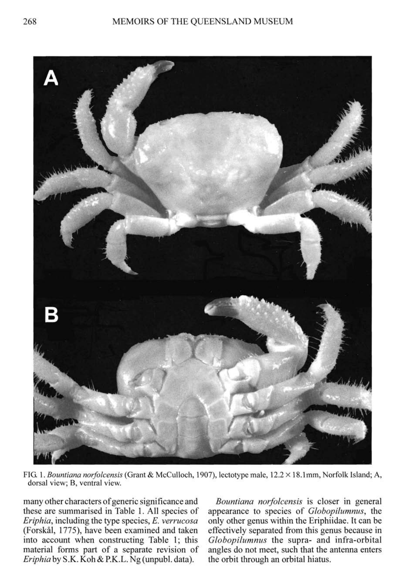

FIG. *\. Bountiana norfolcensis* (Grant & McCuUoch, 1907), lectotype male, 12.2 X 18.1mm, Norfolk Island; A, dorsal view; B, ventral view.

many other characters of generic significance and these are summarised in Table 1. All species of *Eriphia,* including the type species, *E. verrucosa*  (Forskal, 1775), have been examined and taken into account when constructing Table 1; this material forms part of a separate revision of *Eriphia* by S .K. Koh & RK.L. Ng (unpubl. data).

*Bountiana norfolcensis* is closer in general appearance to species of *Globopilumnus,* the only other genus within the Eriphiidae. It can be effectively separated from this genus because in *Globopilumnus* the supra- and infra-orbital angles do not meet, such that the antenna enters the orbit through an orbital hiatus.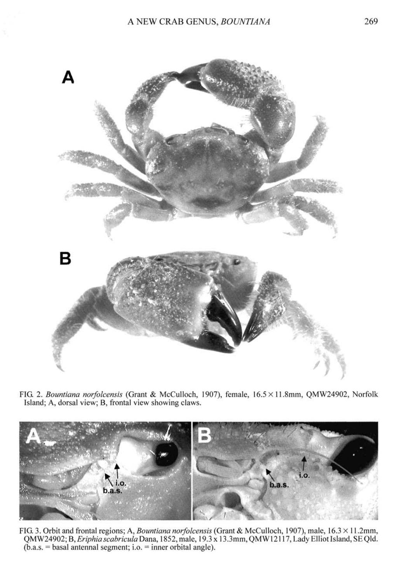

FIG. 2. *Bountiana norfolcensis* (Grant & McCulloch, 1907), female, 16.5 X 11.8mm, QMW24902, Norfolk Island; A, dorsal view; B, frontal view showing claws.



FIG. 3. Orbit and frontal regions; A, *Bountiana norfolcensis* (Grant & McCulloch, 1907), male, 16.3 X 11.2mm, QMW24902; B, Eriphia scabricula Dana, 1852, male, 19.3 x 13.3mm, QMW12117, Lady Elliot Island, SE Qld.  $(b.a.s. = basal$  antennal segment; i.o.  $=$  inner orbital angle).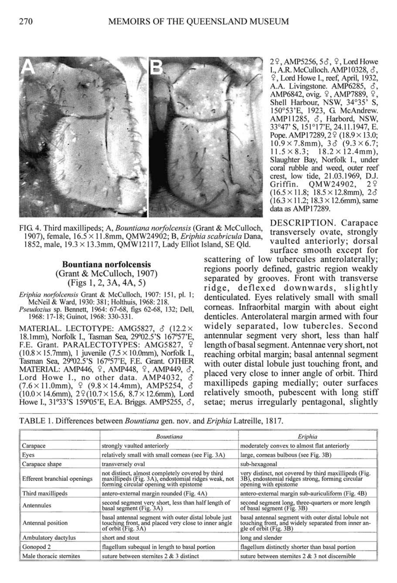

FIG. 4. Third maxillipeds; A, *Bountiana norfolcensis* (Grant & McCulloch, 1907), female, 16.5 x 11.8mm, QMW24902; B, *Eriphia scabricula* Dana, 1852, male,  $19.3 \times 13.3$ mm, OMW12117, Lady Elliot Island, SE Old.

**Bountiana norfolcensis**  (Grant & McCulloch, 1907) (Figsl,2 , 3A,4A, 5)

*Eriphia norfolcensis* Grant & McCulloch, 1907: 151, pi. 1; McNeil & Ward, 1930: 381; Holthuis, 1968: 218. *Pseudozius* sp. Bennett, 1964: 67-68, figs 62-68, 132; Dell, 1968: 17-18; Guinot, 1968: 330-331.

MATERIAL. LECTOTYPE: AMG5827,  $\delta$  (12.2  $\times$ 18.1mm), Norfolk I., Tasman Sea, 29°02.5'S 167°57'E, F.E. Grant. PARALECTOTYPES: AMG5827, 9 (10.8 × 15.7mm), 1 juvenile (7.5 × 10.0mm), Norfolk I., Tasman Sea, 29°02.5'S 167°57'E, RE. Grant. OTHER MATERIAL: AMP446, 9, AMP448, 9, AMP449, 6, Lord Howe I., no other data. AMP4032,  $\delta$  $(7.6 \times 11.0 \text{mm})$ ,  $9.8 \times 14.4 \text{mm}$ , AMP5254,  $\delta$  $(10.0 \times 14.6$ mm),  $2\frac{9}{10.7} \times 15.6$ ,  $8.7 \times 12.6$ mm), Lord Howe I., 31^3'S 159°05'E, E.A. Briggs. AMP5255, *S,* 

29, AMP5256, 53, 9, Lord Howe I., A.R. McCulloch. AMP10328,  $\delta$ , 9, Lord Howe I., reef, April, 1932, A.A. Livingstone. AMP6285,  $\delta$ , AMP6842, ovig. 9, AMP7889, 9, Shell Harbour, NSW, 34°35<sup>'</sup> S, 150°53'E, 1923, G McAndrew. AMP11285,  $\delta$ , Harbord, NSW, 33°47' S, 151°17'E, 24.11.1947, E. Pope. AMP17289, 29 (18.9 × 13.0;  $10.9 \times 7.8$ mm),  $3\delta$  (9.3×6.7;  $11.5 \times 8.3$ ;  $18.2 \times 12.4$ mm). Slaughter Bay, Norfolk I., under coral rubble and weed, outer reef crest, low tide, 21.03.1969, D.J. Griffin. OMW24902, 29  $(16.5 \times 11.8; 18.5 \times 12.8$ mm),  $2\delta$  $(16.3 \times 11.2; 18.3 \times 12.6$ mm), same dataasAMP17289.

DESCRIPTION. Carapace transversely ovate, strongly vaulted anteriorly; dorsal surface smooth except for

scattering of low tubercules anterolaterally; regions poorly defined, gastric region weakly separated by grooves. Front with transverse ridge, deflexed downwards, slightly denticulated. Eyes relatively small with small comeas. Infraorbital margin with about eight denticles. Anterolateral margin armed with four widely separated, low tubercles. Second antennular segment very short, less than half length of basal segment. Antennae very short, not reaching orbital margin; basal antennal segment with outer distal lobule just touching front, and placed very close to inner angle of orbit. Third maxillipeds gaping medially; outer surfaces relatively smooth, pubescent with long stiff setae; merus irregularly pentagonal, slightly

TABLE 1. Differences between *Bountiana* gen. nov. and *Eriphia* Latreille, 1817.

|                             | Bountiana                                                                                                                                         | Eriphia                                                                                                                              |
|-----------------------------|---------------------------------------------------------------------------------------------------------------------------------------------------|--------------------------------------------------------------------------------------------------------------------------------------|
| Carapace                    | strongly vaulted anteriorly                                                                                                                       | moderately convex to almost flat anteriorly                                                                                          |
| Eyes                        | relatively small with small corneas (see Fig. 3A)                                                                                                 | large, corneas bulbous (see Fig. 3B)                                                                                                 |
| Carapace shape              | transversely oval                                                                                                                                 | sub-hexagonal                                                                                                                        |
| Efferent branchial openings | not distinct, almost completely covered by third<br>maxillipeds (Fig. 3A), endostomial ridges weak, not<br>forming circular opening with epistome | very distinct, not covered by third maxillipeds (Fig. 3B), endostomial ridges strong, forming circular<br>opening with epistome      |
| Third maxillipeds           | antero-external margin rounded (Fig. 4A)                                                                                                          | antero-external margin sub-auriculiform (Fig. 4B)                                                                                    |
| Antennules                  | second segment very short, less than half length of<br>basal segment (Fig. 3A)                                                                    | second segment long, three-quarters or more length<br>of basal segment (Fig. 3B)                                                     |
| Antennal position           | basal antennal segment with outer distal lobule just<br>touching front, and placed very close to inner angle<br>of orbit (Fig. 3A)                | basal antennal segment with outer distal lobule not<br>touching front, and widely separated from inner an-<br>gle of orbit (Fig. 3B) |
| Ambulatory dactylus         | short and stout                                                                                                                                   | long and slender                                                                                                                     |
| Gonopod <sub>2</sub>        | flagellum subequal in length to basal portion                                                                                                     | flagellum distinctly shorter than basal portion                                                                                      |
| Male thoracic sternites     | suture between sternites $2 & 3$ distinct                                                                                                         | suture between sternites 2 & 3 not discernible                                                                                       |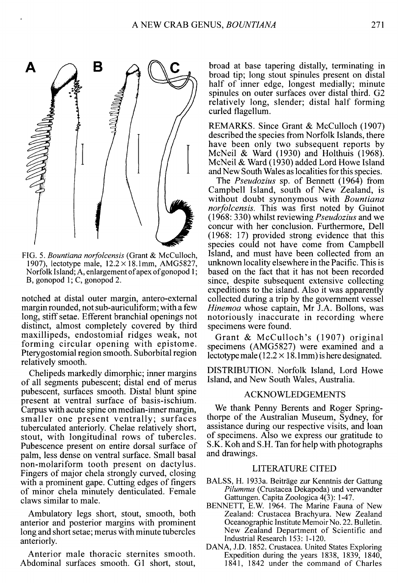

FIG. 5. *Bountiana norfolcensis* (Grant & McCulloch, 1907), lectotype male,  $12.2 \times 18.1$ mm, AMG5827, Norfolk Island; A, enlargement of apex of gonopod 1; B, gonopod 1; C, gonopod 2.

notched at distal outer margin, antero-extemal margin rounded, not sub-auriculiform; with a few long, stiff setae. Efferent branchial openings not distinct, almost completely covered by third maxillipeds, endostomial ridges weak, not forming circular opening with epistome. Pterygostomial region smooth. Suborbital region relatively smooth.

Chelipeds markedly dimorphic; inner margins of all segments pubescent; distal end of merus pubescent, surfaces smooth. Distal blunt spine present at ventral surface of basis-ischium. Carpus with acute spine on median-inner margin, smaller one present ventrally; surfaces tuberculated anteriorly. Chelae relatively short, stout, with longitudinal rows of tubercles. Pubescence present on entire dorsal surface of palm, less dense on ventral surface. Small basal non-molariform tooth present on dactylus. Fingers of major chela strongly curved, closing with a prominent gape. Cutting edges of fingers of minor chela minutely denticulated. Female claws similar to male.

Ambulatory legs short, stout, smooth, both anterior and posterior margins with prominent long and short setae; merus with minute tubercles anteriorly.

Anterior male thoracic sternites smooth. Abdominal surfaces smooth. Gl short, stout. broad at base tapering distally, terminating in broad tip; long stout spinules present on distal half of inner edge, longest medially; minute spinules on outer surfaces over distal third. G2 relatively long, slender; distal half forming curled flagellum.

REMARKS. Since Grant *&* McCulloch (1907) described the species from Norfolk Islands, there have been only two subsequent reports by McNeil & Ward (1930) and Holthuis (1968). McNeil & Ward (1930) added Lord Howe Island and New South Wales as localities for this species.

The *Pseudozius* sp. of Bennett (1964) from Campbell Island, south of New Zealand, is without doubt synonymous with *Bountiana norfolcensis.* This was first noted by Guinot (1968: 330) whilst reviewing *Pseudozius* and we concur with her conclusion. Furthermore, Dell (1968: 17) provided strong evidence that this species could not have come from Campbell Island, and must have been collected from an unknown locality elsewhere in the Pacific. This is based on the fact that it has not been recorded since, despite subsequent extensive collecting expeditions to the island. Also it was apparently collected during a trip by the government vessel *Hinemoa* whose captain, Mr J.A. Bollons, was notoriously inaccurate in recording where specimens were found.

Grant & McCulloch's (1907) original specimens (AMG5827) were examined and a lectotype male ( $12.2 \times 18.1$  mm) is here designated.

DISTRIBUTION. Norfolk Island, Lord Howe Island, and New South Wales, Australia.

# ACKNOWLEDGEMENTS

We thank Penny Berents and Roger Springthorpe of the Australian Museum, Sydney, for assistance during our respective visits, and loan of specimens. Also we express our gratitude to S.K. Koh and S.H. Tan for help with photographs and drawings.

## LITERATURE CITED

- BALSS, H. 1933a. Beitrage zur Kenntnis der Gattung *Pilumnus* (Crustacea Dekapoda) und verwandter Gattungen. Capita Zoologica 4(3): 1-47.
- BENNETT, E.W. 1964. The Marine Fauna of New Zealand: Crustacea Brachyura. New Zealand Oceanographic Institute Memoir No. 22. Bulletin. New Zealand Department of Scientific and Industrial Research 153: 1-120.
- DANA, J.D. 1852. Crustacea. United States Exploring Expedition during the years 1838, 1839, 1840, 1841, 1842 under the command of Charles